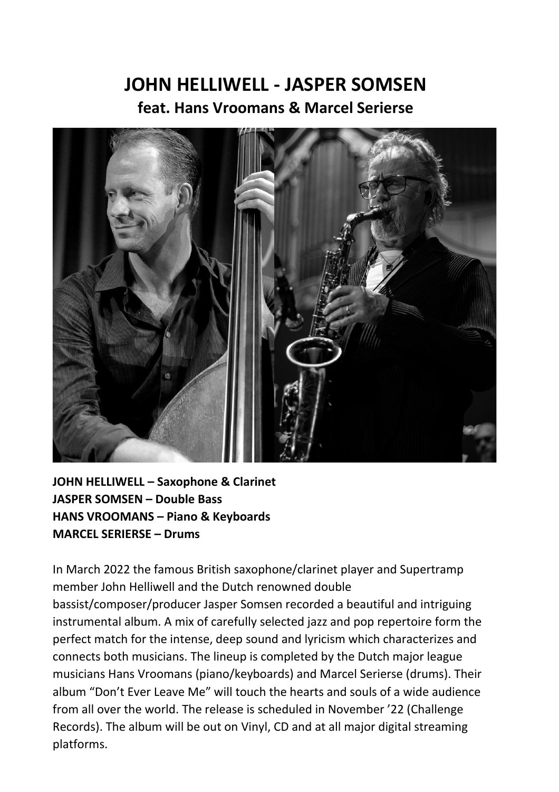## **JOHN HELLIWELL - JASPER SOMSEN feat. Hans Vroomans & Marcel Serierse**



**JOHN HELLIWELL – Saxophone & Clarinet JASPER SOMSEN – Double Bass HANS VROOMANS – Piano & Keyboards MARCEL SERIERSE – Drums**

In March 2022 the famous British saxophone/clarinet player and Supertramp member John Helliwell and the Dutch renowned double bassist/composer/producer Jasper Somsen recorded a beautiful and intriguing instrumental album. A mix of carefully selected jazz and pop repertoire form the perfect match for the intense, deep sound and lyricism which characterizes and connects both musicians. The lineup is completed by the Dutch major league musicians Hans Vroomans (piano/keyboards) and Marcel Serierse (drums). Their album "Don't Ever Leave Me" will touch the hearts and souls of a wide audience from all over the world. The release is scheduled in November '22 (Challenge Records). The album will be out on Vinyl, CD and at all major digital streaming platforms.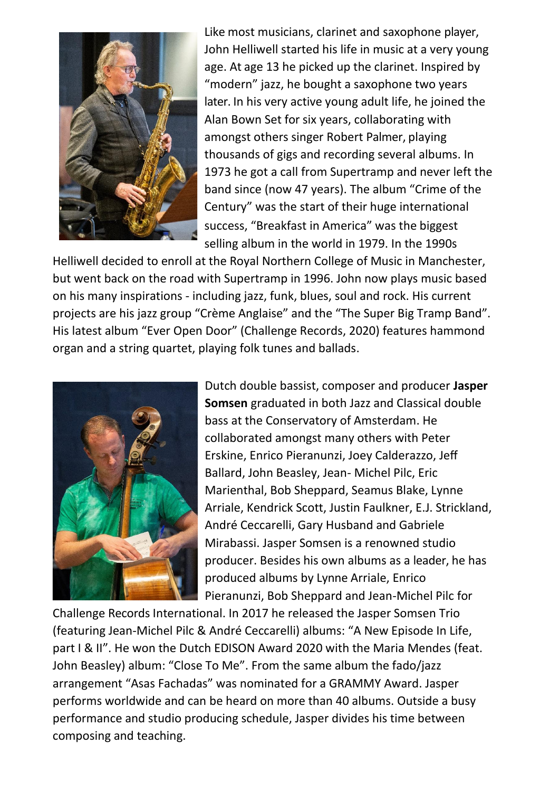

Like most musicians, clarinet and saxophone player, John Helliwell started his life in music at a very young age. At age 13 he picked up the clarinet. Inspired by "modern" jazz, he bought a saxophone two years later. In his very active young adult life, he joined the Alan Bown Set for six years, collaborating with amongst others singer Robert Palmer, playing thousands of gigs and recording several albums. In 1973 he got a call from Supertramp and never left the band since (now 47 years). The album "Crime of the Century" was the start of their huge international success, "Breakfast in America" was the biggest selling album in the world in 1979. In the 1990s

Helliwell decided to enroll at the Royal Northern College of Music in Manchester, but went back on the road with Supertramp in 1996. John now plays music based on his many inspirations - including jazz, funk, blues, soul and rock. His current projects are his jazz group "Crème Anglaise" and the "The Super Big Tramp Band". His latest album "Ever Open Door" (Challenge Records, 2020) features hammond organ and a string quartet, playing folk tunes and ballads.



Dutch double bassist, composer and producer **Jasper Somsen** graduated in both Jazz and Classical double bass at the Conservatory of Amsterdam. He collaborated amongst many others with Peter Erskine, Enrico Pieranunzi, Joey Calderazzo, Jeff Ballard, John Beasley, Jean- Michel Pilc, Eric Marienthal, Bob Sheppard, Seamus Blake, Lynne Arriale, Kendrick Scott, Justin Faulkner, E.J. Strickland, André Ceccarelli, Gary Husband and Gabriele Mirabassi. Jasper Somsen is a renowned studio producer. Besides his own albums as a leader, he has produced albums by Lynne Arriale, Enrico Pieranunzi, Bob Sheppard and Jean-Michel Pilc for

Challenge Records International. In 2017 he released the Jasper Somsen Trio (featuring Jean-Michel Pilc & André Ceccarelli) albums: "A New Episode In Life, part I & II". He won the Dutch EDISON Award 2020 with the Maria Mendes (feat. John Beasley) album: "Close To Me". From the same album the fado/jazz arrangement "Asas Fachadas" was nominated for a GRAMMY Award. Jasper performs worldwide and can be heard on more than 40 albums. Outside a busy performance and studio producing schedule, Jasper divides his time between composing and teaching.